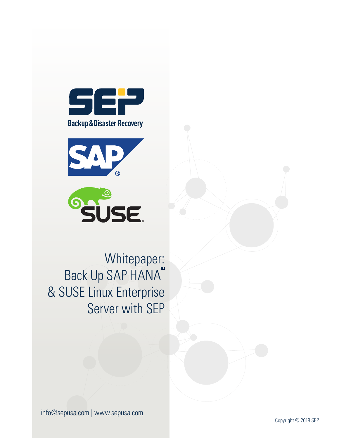





Whitepaper: Back Up SAP HANA™ & SUSE Linux Enterprise Server with SEP

info@sepusa.com | www.sepusa.com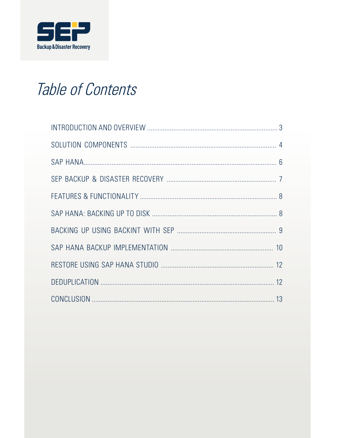

## Table of Contents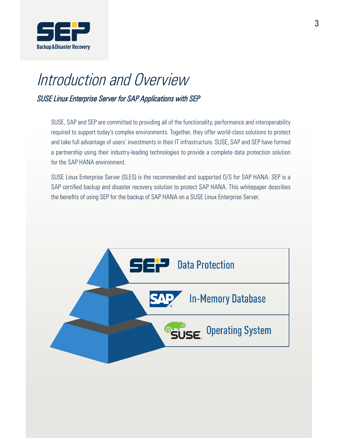

# Introduction and Overview

SUSE Linux Enterprise Server for SAP Applications with SEP

SUSE, SAP and SEP are committed to providing all of the functionality, performance and interoperability required to support today's complex environments. Together, they offer world-class solutions to protect and take full advantage of users' investments in their IT infrastructure. SUSE, SAP and SEP have formed a partnership using their industry-leading technologies to provide a complete data protection solution for the SAP HANA environment.

SUSE Linux Enterprise Server (SLES) is the recommended and supported O/S for SAP HANA. SEP is a SAP certified backup and disaster recovery solution to protect SAP HANA. This whitepaper describes the benefits of using SEP for the backup of SAP HANA on a SUSE Linux Enterprise Server.

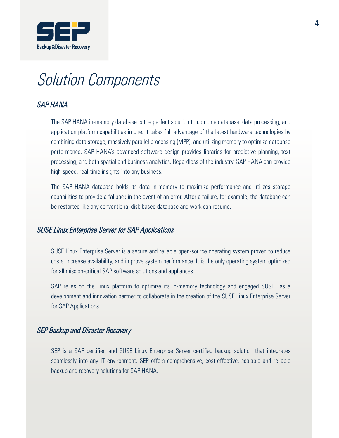

### Solution Components

#### SAP HANA

The SAP HANA in-memory database is the perfect solution to combine database, data processing, and application platform capabilities in one. It takes full advantage of the latest hardware technologies by combining data storage, massively parallel processing (MPP), and utilizing memory to optimize database performance. SAP HANA's advanced software design provides libraries for predictive planning, text processing, and both spatial and business analytics. Regardless of the industry, SAP HANA can provide high-speed, real-time insights into any business.

The SAP HANA database holds its data in-memory to maximize performance and utilizes storage capabilities to provide a fallback in the event of an error. After a failure, for example, the database can be restarted like any conventional disk-based database and work can resume.

#### SUSE Linux Enterprise Server for SAP Applications

SUSE Linux Enterprise Server is a secure and reliable open-source operating system proven to reduce costs, increase availability, and improve system performance. It is the only operating system optimized for all mission-critical SAP software solutions and appliances.

SAP relies on the Linux platform to optimize its in-memory technology and engaged SUSE as a development and innovation partner to collaborate in the creation of the SUSE Linux Enterprise Server for SAP Applications.

#### SEP Backup and Disaster Recovery

SEP is a SAP certified and SUSE Linux Enterprise Server certified backup solution that integrates seamlessly into any IT environment. SEP offers comprehensive, cost-effective, scalable and reliable backup and recovery solutions for SAP HANA.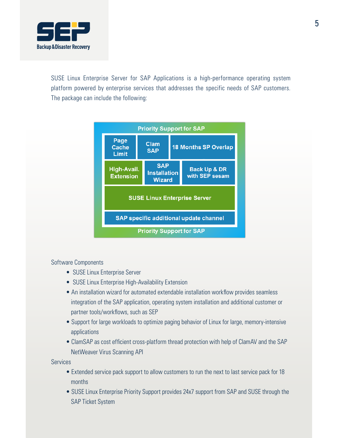

SUSE Linux Enterprise Server for SAP Applications is a high-performance operating system platform powered by enterprise services that addresses the specific needs of SAP customers. The package can include the following:



#### Software Components

- SUSE Linux Enterprise Server
- SUSE Linux Enterprise High-Availability Extension
- An installation wizard for automated extendable installation workflow provides seamless integration of the SAP application, operating system installation and additional customer or partner tools/workflows, such as SEP
- Support for large workloads to optimize paging behavior of Linux for large, memory-intensive applications
- ClamSAP as cost efficient cross-platform thread protection with help of ClamAV and the SAP NetWeaver Virus Scanning API

Services

- Extended service pack support to allow customers to run the next to last service pack for 18 months
- SUSE Linux Enterprise Priority Support provides 24x7 support from SAP and SUSE through the SAP Ticket System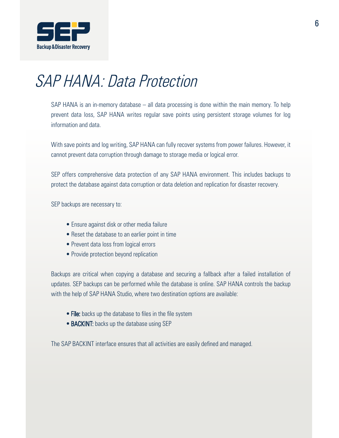

## SAP HANA: Data Protection

SAP HANA is an in-memory database – all data processing is done within the main memory. To help prevent data loss, SAP HANA writes regular save points using persistent storage volumes for log information and data.

With save points and log writing, SAP HANA can fully recover systems from power failures. However, it cannot prevent data corruption through damage to storage media or logical error.

SEP offers comprehensive data protection of any SAP HANA environment. This includes backups to protect the database against data corruption or data deletion and replication for disaster recovery.

SEP backups are necessary to:

- Ensure against disk or other media failure
- Reset the database to an earlier point in time
- Prevent data loss from logical errors
- Provide protection beyond replication

Backups are critical when copying a database and securing a fallback after a failed installation of updates. SEP backups can be performed while the database is online. SAP HANA controls the backup with the help of SAP HANA Studio, where two destination options are available:

- File: backs up the database to files in the file system
- **BACKINT:** backs up the database using SEP

The SAP BACKINT interface ensures that all activities are easily defined and managed.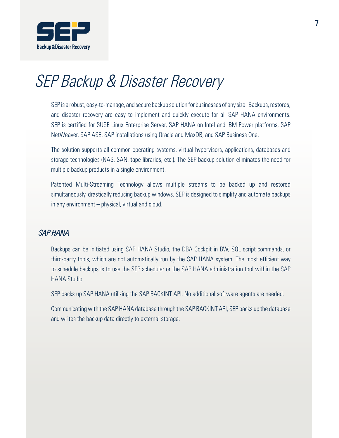

### SEP Backup & Disaster Recovery

SEP is a robust, easy-to-manage, and secure backup solution for businesses of any size. Backups, restores, and disaster recovery are easy to implement and quickly execute for all SAP HANA environments. SEP is certified for SUSE Linux Enterprise Server, SAP HANA on Intel and IBM Power platforms, SAP NetWeaver, SAP ASE, SAP installations using Oracle and MaxDB, and SAP Business One.

The solution supports all common operating systems, virtual hypervisors, applications, databases and storage technologies (NAS, SAN, tape libraries, etc.). The SEP backup solution eliminates the need for multiple backup products in a single environment.

Patented Multi-Streaming Technology allows multiple streams to be backed up and restored simultaneously, drastically reducing backup windows. SEP is designed to simplify and automate backups in any environment – physical, virtual and cloud.

#### SAP HANA

Backups can be initiated using SAP HANA Studio, the DBA Cockpit in BW, SQL script commands, or third-party tools, which are not automatically run by the SAP HANA system. The most efficient way to schedule backups is to use the SEP scheduler or the SAP HANA administration tool within the SAP HANA Studio.

SEP backs up SAP HANA utilizing the SAP BACKINT API. No additional software agents are needed.

Communicating with the SAP HANA database through the SAP BACKINT API, SEP backs up the database and writes the backup data directly to external storage.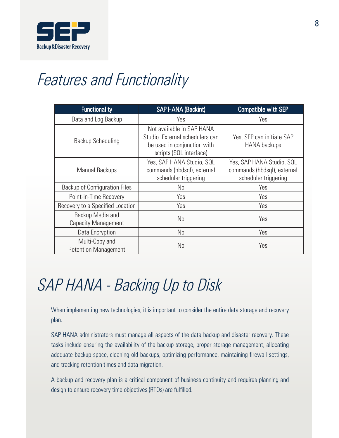

## Features and Functionality

| <b>Functionality</b>                           | <b>SAP HANA (Backint)</b>                                                                                              | <b>Compatible with SEP</b>                                                       |
|------------------------------------------------|------------------------------------------------------------------------------------------------------------------------|----------------------------------------------------------------------------------|
| Data and Log Backup                            | Yes                                                                                                                    | Yes                                                                              |
| Backup Scheduling                              | Not available in SAP HANA<br>Studio. External schedulers can<br>be used in conjunction with<br>scripts (SQL interface) | Yes, SEP can initiate SAP<br>HANA backups                                        |
| Manual Backups                                 | Yes, SAP HANA Studio, SQL<br>commands (hbdsql), external<br>scheduler triggering                                       | Yes, SAP HANA Studio, SQL<br>commands (hbdsql), external<br>scheduler triggering |
| <b>Backup of Configuration Files</b>           | No                                                                                                                     | Yes                                                                              |
| Point-in-Time Recovery                         | Yes                                                                                                                    | Yes                                                                              |
| Recovery to a Specified Location               | Yes                                                                                                                    | Yes                                                                              |
| Backup Media and<br><b>Capacity Management</b> | No                                                                                                                     | Yes                                                                              |
| Data Encryption                                | No                                                                                                                     | Yes                                                                              |
| Multi-Copy and<br><b>Retention Management</b>  | No                                                                                                                     | Yes                                                                              |

# SAP HANA - Backing Up to Disk

When implementing new technologies, it is important to consider the entire data storage and recovery plan.

SAP HANA administrators must manage all aspects of the data backup and disaster recovery. These tasks include ensuring the availability of the backup storage, proper storage management, allocating adequate backup space, cleaning old backups, optimizing performance, maintaining firewall settings, and tracking retention times and data migration.

A backup and recovery plan is a critical component of business continuity and requires planning and design to ensure recovery time objectives (RTOs) are fulfilled.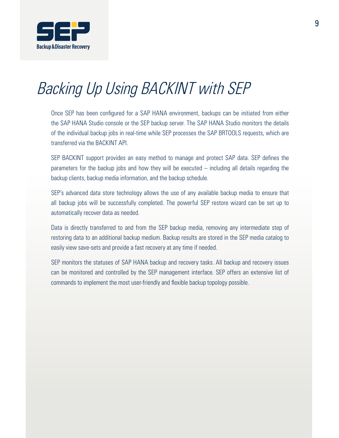

# Backing Up Using BACKINT with SEP

Once SEP has been configured for a SAP HANA environment, backups can be initiated from either the SAP HANA Studio console or the SEP backup server. The SAP HANA Studio monitors the details of the individual backup jobs in real-time while SEP processes the SAP BRTOOLS requests, which are transferred via the BACKINT API.

SEP BACKINT support provides an easy method to manage and protect SAP data. SEP defines the parameters for the backup jobs and how they will be executed – including all details regarding the backup clients, backup media information, and the backup schedule.

SEP's advanced data store technology allows the use of any available backup media to ensure that all backup jobs will be successfully completed. The powerful SEP restore wizard can be set up to automatically recover data as needed.

Data is directly transferred to and from the SEP backup media, removing any intermediate step of restoring data to an additional backup medium. Backup results are stored in the SEP media catalog to easily view save-sets and provide a fast recovery at any time if needed.

SEP monitors the statuses of SAP HANA backup and recovery tasks. All backup and recovery issues can be monitored and controlled by the SEP management interface. SEP offers an extensive list of commands to implement the most user-friendly and flexible backup topology possible.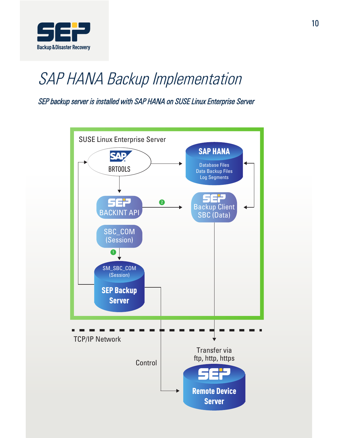

## SAP HANA Backup Implementation

SEP backup server is installed with SAP HANA on SUSE Linux Enterprise Server

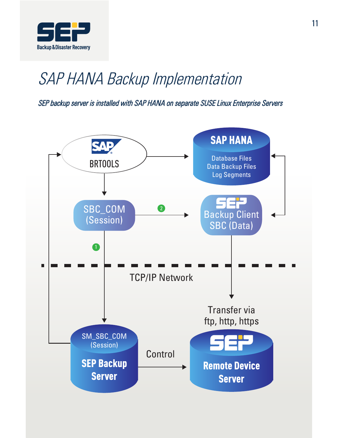

### SAP HANA Backup Implementation

SEP backup server is installed with SAP HANA on separate SUSE Linux Enterprise Servers

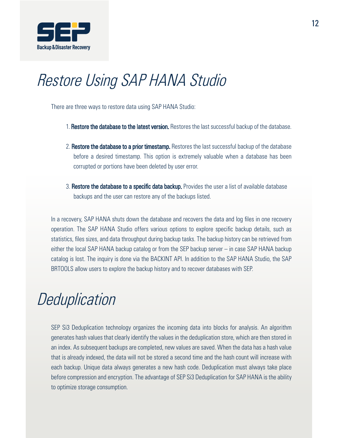

### Restore Using SAP HANA Studio

There are three ways to restore data using SAP HANA Studio:

- 1. Restore the database to the latest version. Restores the last successful backup of the database.
- 2. Restore the database to a prior timestamp. Restores the last successful backup of the database before a desired timestamp. This option is extremely valuable when a database has been corrupted or portions have been deleted by user error.
- 3. Restore the database to a specific data backup. Provides the user a list of available database backups and the user can restore any of the backups listed.

In a recovery, SAP HANA shuts down the database and recovers the data and log files in one recovery operation. The SAP HANA Studio offers various options to explore specific backup details, such as statistics, files sizes, and data throughput during backup tasks. The backup history can be retrieved from either the local SAP HANA backup catalog or from the SEP backup server – in case SAP HANA backup catalog is lost. The inquiry is done via the BACKINT API. In addition to the SAP HANA Studio, the SAP BRTOOLS allow users to explore the backup history and to recover databases with SEP.

### **Deduplication**

SEP Si3 Deduplication technology organizes the incoming data into blocks for analysis. An algorithm generates hash values that clearly identify the values in the deduplication store, which are then stored in an index. As subsequent backups are completed, new values are saved. When the data has a hash value that is already indexed, the data will not be stored a second time and the hash count will increase with each backup. Unique data always generates a new hash code. Deduplication must always take place before compression and encryption. The advantage of SEP Si3 Deduplication for SAP HANA is the ability to optimize storage consumption.